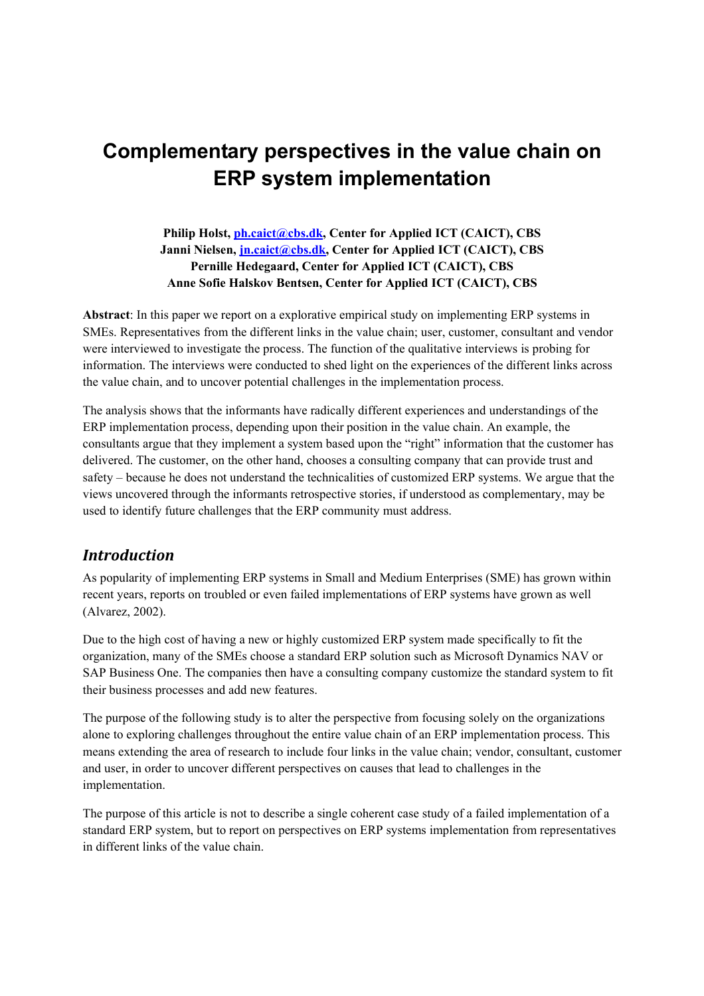# **Complementary perspectives in the value chain on ERP system implementation**

## **Philip Holst, ph.caict@cbs.dk, Center for Applied ICT (CAICT), CBS Janni Nielsen, jn.caict@cbs.dk, Center for Applied ICT (CAICT), CBS Pernille Hedegaard, Center for Applied ICT (CAICT), CBS Anne Sofie Halskov Bentsen, Center for Applied ICT (CAICT), CBS**

**Abstract**: In this paper we report on a explorative empirical study on implementing ERP systems in SMEs. Representatives from the different links in the value chain; user, customer, consultant and vendor were interviewed to investigate the process. The function of the qualitative interviews is probing for information. The interviews were conducted to shed light on the experiences of the different links across the value chain, and to uncover potential challenges in the implementation process.

The analysis shows that the informants have radically different experiences and understandings of the ERP implementation process, depending upon their position in the value chain. An example, the consultants argue that they implement a system based upon the "right" information that the customer has delivered. The customer, on the other hand, chooses a consulting company that can provide trust and safety – because he does not understand the technicalities of customized ERP systems. We argue that the views uncovered through the informants retrospective stories, if understood as complementary, may be used to identify future challenges that the ERP community must address.

# *Introduction! !*

As popularity of implementing ERP systems in Small and Medium Enterprises (SME) has grown within recent years, reports on troubled or even failed implementations of ERP systems have grown as well (Alvarez, 2002).

Due to the high cost of having a new or highly customized ERP system made specifically to fit the organization, many of the SMEs choose a standard ERP solution such as Microsoft Dynamics NAV or SAP Business One. The companies then have a consulting company customize the standard system to fit their business processes and add new features.

The purpose of the following study is to alter the perspective from focusing solely on the organizations alone to exploring challenges throughout the entire value chain of an ERP implementation process. This means extending the area of research to include four links in the value chain; vendor, consultant, customer and user, in order to uncover different perspectives on causes that lead to challenges in the implementation.

The purpose of this article is not to describe a single coherent case study of a failed implementation of a standard ERP system, but to report on perspectives on ERP systems implementation from representatives in different links of the value chain.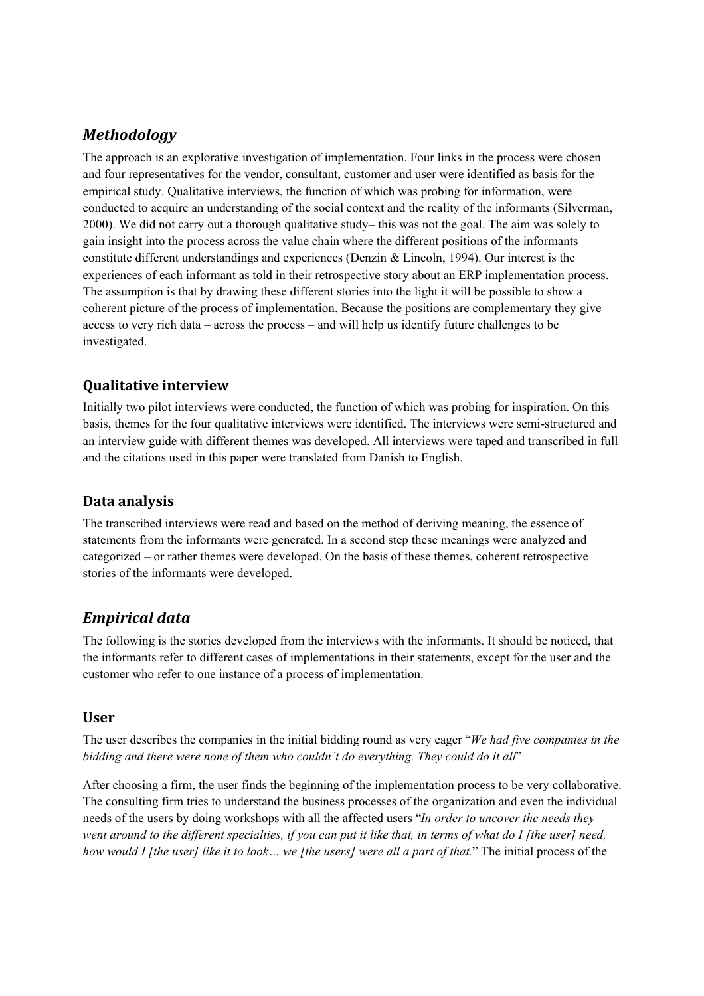# *Methodology! !*

The approach is an explorative investigation of implementation. Four links in the process were chosen and four representatives for the vendor, consultant, customer and user were identified as basis for the empirical study. Qualitative interviews, the function of which was probing for information, were conducted to acquire an understanding of the social context and the reality of the informants (Silverman, 2000). We did not carry out a thorough qualitative study– this was not the goal. The aim was solely to gain insight into the process across the value chain where the different positions of the informants constitute different understandings and experiences (Denzin & Lincoln, 1994). Our interest is the experiences of each informant as told in their retrospective story about an ERP implementation process. The assumption is that by drawing these different stories into the light it will be possible to show a coherent picture of the process of implementation. Because the positions are complementary they give access to very rich data – across the process – and will help us identify future challenges to be investigated.

# **Qualitative interview! !**

Initially two pilot interviews were conducted, the function of which was probing for inspiration. On this basis, themes for the four qualitative interviews were identified. The interviews were semi-structured and an interview guide with different themes was developed. All interviews were taped and transcribed in full and the citations used in this paper were translated from Danish to English.

## **Data analysis! !**

The transcribed interviews were read and based on the method of deriving meaning, the essence of statements from the informants were generated. In a second step these meanings were analyzed and categorized – or rather themes were developed. On the basis of these themes, coherent retrospective stories of the informants were developed.

# *Empirical data! !*

The following is the stories developed from the interviews with the informants. It should be noticed, that the informants refer to different cases of implementations in their statements, except for the user and the customer who refer to one instance of a process of implementation.

#### **User! !**

The user describes the companies in the initial bidding round as very eager "*We had five companies in the bidding and there were none of them who couldn't do everything. They could do it all*"

After choosing a firm, the user finds the beginning of the implementation process to be very collaborative. The consulting firm tries to understand the business processes of the organization and even the individual needs of the users by doing workshops with all the affected users "*In order to uncover the needs they went around to the different specialties, if you can put it like that, in terms of what do I [the user] need, how would I [the user] like it to look… we [the users] were all a part of that.*" The initial process of the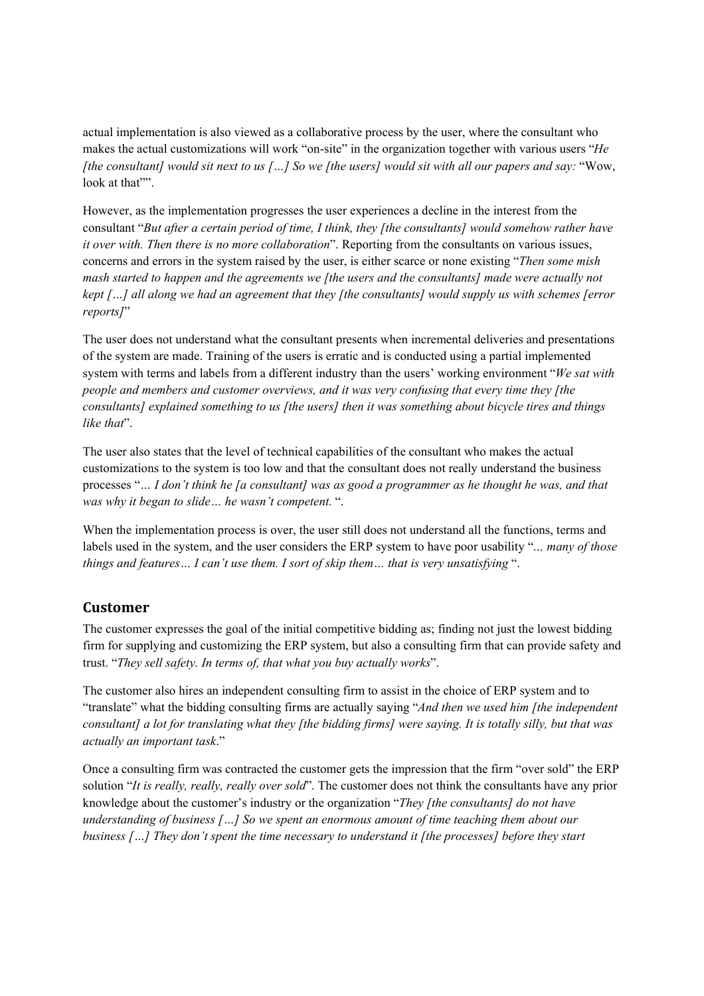actual implementation is also viewed as a collaborative process by the user, where the consultant who makes the actual customizations will work "on-site" in the organization together with various users "*He [the consultant] would sit next to us […] So we [the users] would sit with all our papers and say:* "Wow, look at that"".

However, as the implementation progresses the user experiences a decline in the interest from the consultant "*But after a certain period of time, I think, they [the consultants] would somehow rather have it over with. Then there is no more collaboration*". Reporting from the consultants on various issues, concerns and errors in the system raised by the user, is either scarce or none existing "*Then some mish mash started to happen and the agreements we [the users and the consultants] made were actually not kept […] all along we had an agreement that they [the consultants] would supply us with schemes [error reports]*"

The user does not understand what the consultant presents when incremental deliveries and presentations of the system are made. Training of the users is erratic and is conducted using a partial implemented system with terms and labels from a different industry than the users' working environment "*We sat with people and members and customer overviews, and it was very confusing that every time they [the consultants] explained something to us [the users] then it was something about bicycle tires and things like that*".

The user also states that the level of technical capabilities of the consultant who makes the actual customizations to the system is too low and that the consultant does not really understand the business processes "*… I don't think he [a consultant] was as good a programmer as he thought he was, and that was why it began to slide… he wasn't competent.* ".

When the implementation process is over, the user still does not understand all the functions, terms and labels used in the system, and the user considers the ERP system to have poor usability "*… many of those things and features… I can't use them. I sort of skip them… that is very unsatisfying* ".

## **Customer**

The customer expresses the goal of the initial competitive bidding as; finding not just the lowest bidding firm for supplying and customizing the ERP system, but also a consulting firm that can provide safety and trust. "*They sell safety. In terms of, that what you buy actually works*".

The customer also hires an independent consulting firm to assist in the choice of ERP system and to "translate" what the bidding consulting firms are actually saying "*And then we used him [the independent consultant] a lot for translating what they [the bidding firms] were saying. It is totally silly, but that was actually an important task*."

Once a consulting firm was contracted the customer gets the impression that the firm "over sold" the ERP solution "*It is really, really, really over sold*". The customer does not think the consultants have any prior knowledge about the customer's industry or the organization "*They [the consultants] do not have understanding of business […] So we spent an enormous amount of time teaching them about our business […] They don't spent the time necessary to understand it [the processes] before they start*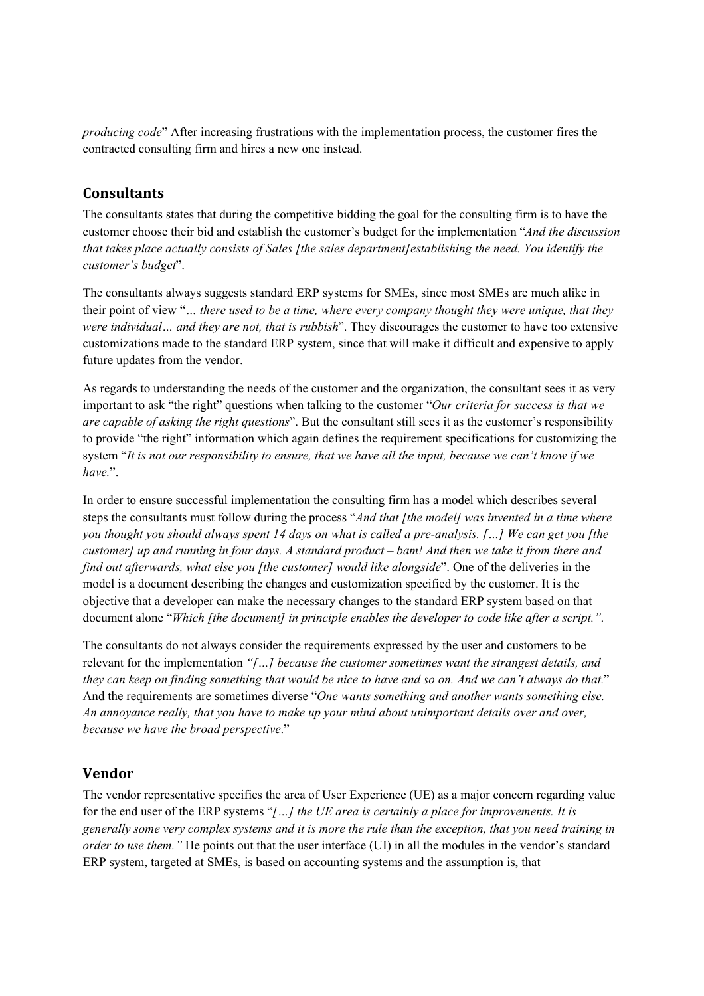*producing code*" After increasing frustrations with the implementation process, the customer fires the contracted consulting firm and hires a new one instead.

## **Consultants! !**

The consultants states that during the competitive bidding the goal for the consulting firm is to have the customer choose their bid and establish the customer's budget for the implementation "*And the discussion that takes place actually consists of Sales [the sales department]establishing the need. You identify the customer's budget*".

The consultants always suggests standard ERP systems for SMEs, since most SMEs are much alike in their point of view "*… there used to be a time, where every company thought they were unique, that they were individual… and they are not, that is rubbish*". They discourages the customer to have too extensive customizations made to the standard ERP system, since that will make it difficult and expensive to apply future updates from the vendor.

As regards to understanding the needs of the customer and the organization, the consultant sees it as very important to ask "the right" questions when talking to the customer "*Our criteria for success is that we are capable of asking the right questions*". But the consultant still sees it as the customer's responsibility to provide "the right" information which again defines the requirement specifications for customizing the system "*It is not our responsibility to ensure, that we have all the input, because we can't know if we have.*".

In order to ensure successful implementation the consulting firm has a model which describes several steps the consultants must follow during the process "*And that [the model] was invented in a time where you thought you should always spent 14 days on what is called a pre-analysis. […] We can get you [the customer] up and running in four days. A standard product – bam! And then we take it from there and find out afterwards, what else you [the customer] would like alongside*". One of the deliveries in the model is a document describing the changes and customization specified by the customer. It is the objective that a developer can make the necessary changes to the standard ERP system based on that document alone "*Which [the document] in principle enables the developer to code like after a script."*.

The consultants do not always consider the requirements expressed by the user and customers to be relevant for the implementation *"[…] because the customer sometimes want the strangest details, and they can keep on finding something that would be nice to have and so on. And we can't always do that.*" And the requirements are sometimes diverse "*One wants something and another wants something else. An annoyance really, that you have to make up your mind about unimportant details over and over, because we have the broad perspective*."

## **Vendor! !**

The vendor representative specifies the area of User Experience (UE) as a major concern regarding value for the end user of the ERP systems "*[…] the UE area is certainly a place for improvements. It is generally some very complex systems and it is more the rule than the exception, that you need training in order to use them.*" He points out that the user interface (UI) in all the modules in the vendor's standard ERP system, targeted at SMEs, is based on accounting systems and the assumption is, that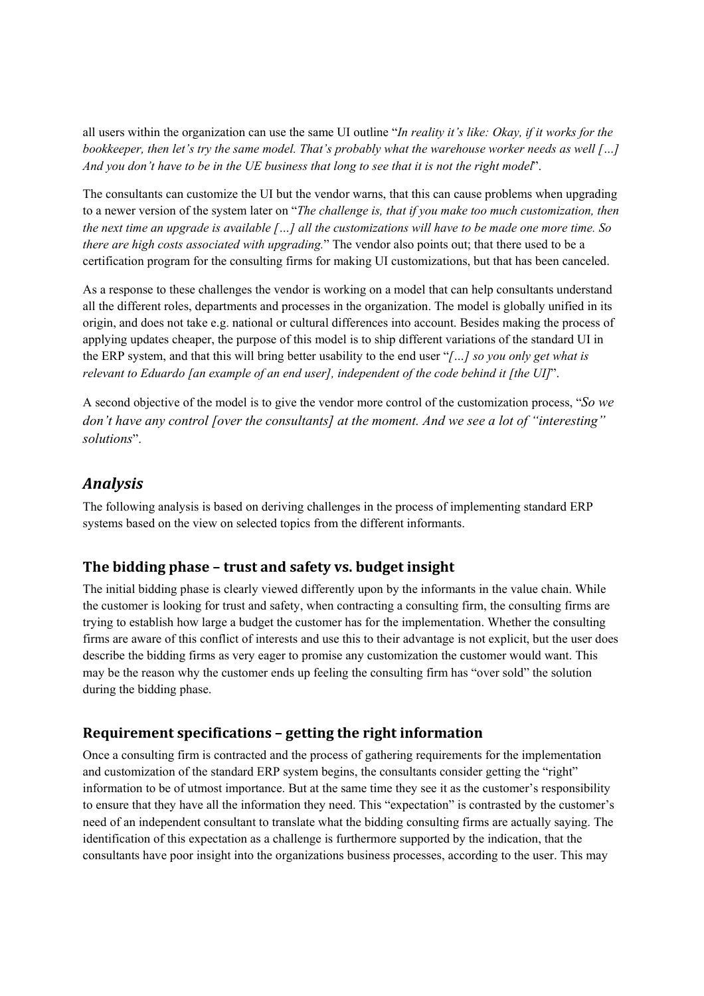all users within the organization can use the same UI outline "*In reality it's like: Okay, if it works for the bookkeeper, then let's try the same model. That's probably what the warehouse worker needs as well […] And you don't have to be in the UE business that long to see that it is not the right model*".

The consultants can customize the UI but the vendor warns, that this can cause problems when upgrading to a newer version of the system later on "*The challenge is, that if you make too much customization, then the next time an upgrade is available […] all the customizations will have to be made one more time. So there are high costs associated with upgrading.*" The vendor also points out; that there used to be a certification program for the consulting firms for making UI customizations, but that has been canceled.

As a response to these challenges the vendor is working on a model that can help consultants understand all the different roles, departments and processes in the organization. The model is globally unified in its origin, and does not take e.g. national or cultural differences into account. Besides making the process of applying updates cheaper, the purpose of this model is to ship different variations of the standard UI in the ERP system, and that this will bring better usability to the end user "*[…] so you only get what is relevant to Eduardo [an example of an end user], independent of the code behind it [the UI]*".

A second objective of the model is to give the vendor more control of the customization process, "*So we don't have any control [over the consultants] at the moment. And we see a lot of "interesting" solutions*".

# *Analysis! !*

The following analysis is based on deriving challenges in the process of implementing standard ERP systems based on the view on selected topics from the different informants.

# **The bidding phase – trust and safety vs. budget insight! !**

The initial bidding phase is clearly viewed differently upon by the informants in the value chain. While the customer is looking for trust and safety, when contracting a consulting firm, the consulting firms are trying to establish how large a budget the customer has for the implementation. Whether the consulting firms are aware of this conflict of interests and use this to their advantage is not explicit, but the user does describe the bidding firms as very eager to promise any customization the customer would want. This may be the reason why the customer ends up feeling the consulting firm has "over sold" the solution during the bidding phase.

# **Requirement specifications – getting the right information! !**

Once a consulting firm is contracted and the process of gathering requirements for the implementation and customization of the standard ERP system begins, the consultants consider getting the "right" information to be of utmost importance. But at the same time they see it as the customer's responsibility to ensure that they have all the information they need. This "expectation" is contrasted by the customer's need of an independent consultant to translate what the bidding consulting firms are actually saying. The identification of this expectation as a challenge is furthermore supported by the indication, that the consultants have poor insight into the organizations business processes, according to the user. This may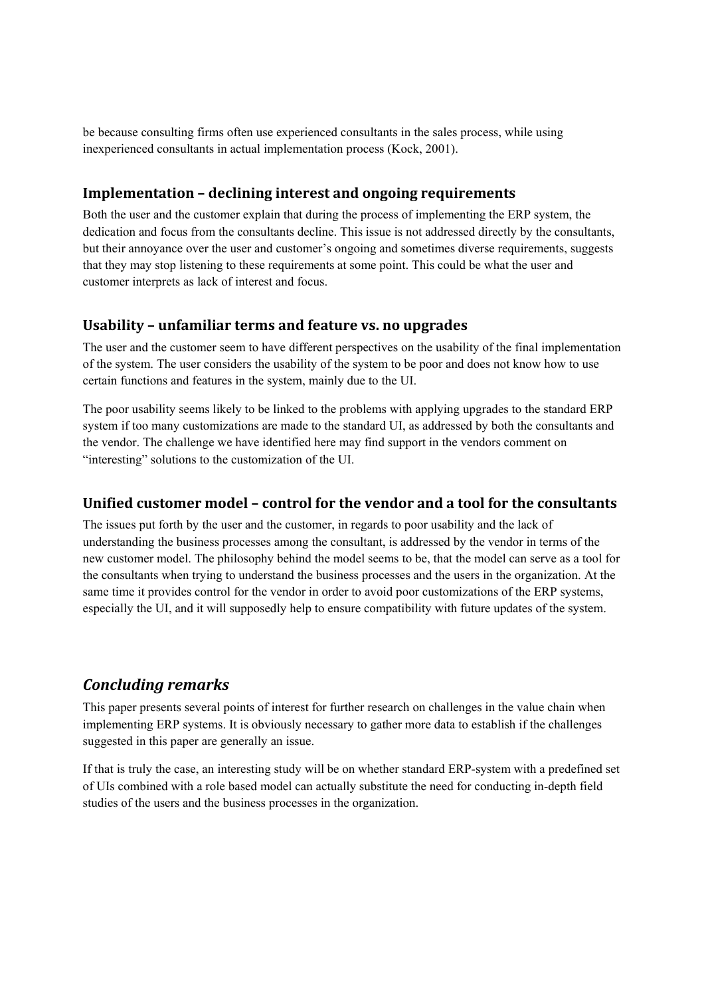be because consulting firms often use experienced consultants in the sales process, while using inexperienced consultants in actual implementation process (Kock, 2001).

## **Implementation - declining interest** and **ongoing requirements**

Both the user and the customer explain that during the process of implementing the ERP system, the dedication and focus from the consultants decline. This issue is not addressed directly by the consultants, but their annoyance over the user and customer's ongoing and sometimes diverse requirements, suggests that they may stop listening to these requirements at some point. This could be what the user and customer interprets as lack of interest and focus.

## **Usability – unfamiliar terms and feature vs. no upgrades! !**

The user and the customer seem to have different perspectives on the usability of the final implementation of the system. The user considers the usability of the system to be poor and does not know how to use certain functions and features in the system, mainly due to the UI.

The poor usability seems likely to be linked to the problems with applying upgrades to the standard ERP system if too many customizations are made to the standard UI, as addressed by both the consultants and the vendor. The challenge we have identified here may find support in the vendors comment on "interesting" solutions to the customization of the UI.

## **Unified customer model – control for the vendor and a tool for the consultants! !**

The issues put forth by the user and the customer, in regards to poor usability and the lack of understanding the business processes among the consultant, is addressed by the vendor in terms of the new customer model. The philosophy behind the model seems to be, that the model can serve as a tool for the consultants when trying to understand the business processes and the users in the organization. At the same time it provides control for the vendor in order to avoid poor customizations of the ERP systems, especially the UI, and it will supposedly help to ensure compatibility with future updates of the system.

# *Concluding remarks! !*

This paper presents several points of interest for further research on challenges in the value chain when implementing ERP systems. It is obviously necessary to gather more data to establish if the challenges suggested in this paper are generally an issue.

If that is truly the case, an interesting study will be on whether standard ERP-system with a predefined set of UIs combined with a role based model can actually substitute the need for conducting in-depth field studies of the users and the business processes in the organization.